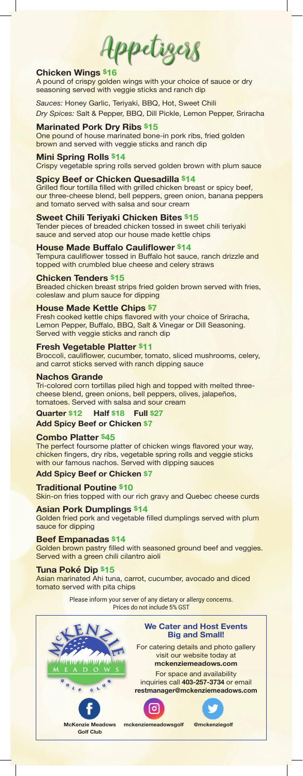Appetizers

## **Chicken Wings \$16**

A pound of crispy golden wings with your choice of sauce or dry seasoning served with veggie sticks and ranch dip

*Sauces:* Honey Garlic, Teriyaki, BBQ, Hot, Sweet Chili *Dry Spices:* Salt & Pepper, BBQ, Dill Pickle, Lemon Pepper, Sriracha

## **Marinated Pork Dry Ribs \$15**

One pound of house marinated bone-in pork ribs, fried golden brown and served with veggie sticks and ranch dip

## **Mini Spring Rolls \$14**

Crispy vegetable spring rolls served golden brown with plum sauce

## **Spicy Beef or Chicken Quesadilla \$14**

Grilled flour tortilla filled with grilled chicken breast or spicy beef, our three-cheese blend, bell peppers, green onion, banana peppers and tomato served with salsa and sour cream

### **Sweet Chili Teriyaki Chicken Bites \$15**

Tender pieces of breaded chicken tossed in sweet chili teriyaki sauce and served atop our house made kettle chips

### **House Made Buffalo Cauliflower \$14**

Tempura cauliflower tossed in Buffalo hot sauce, ranch drizzle and topped with crumbled blue cheese and celery straws

#### **Chicken Tenders \$15**

Breaded chicken breast strips fried golden brown served with fries, coleslaw and plum sauce for dipping

### **House Made Kettle Chips \$7**

Fresh cooked kettle chips flavored with your choice of Sriracha, Lemon Pepper, Buffalo, BBQ, Salt & Vinegar or Dill Seasoning. Served with veggie sticks and ranch dip

#### **Fresh Vegetable Platter \$11**

Broccoli, cauliflower, cucumber, tomato, sliced mushrooms, celery, and carrot sticks served with ranch dipping sauce

#### **Nachos Grande**

Tri-colored corn tortillas piled high and topped with melted threecheese blend, green onions, bell peppers, olives, jalapeños, tomatoes. Served with salsa and sour cream

### **Quarter \$12 Half \$18 Full \$27**

**Add Spicy Beef or Chicken \$7**

## **Combo Platter \$45**

The perfect foursome platter of chicken wings flavored your way, chicken fingers, dry ribs, vegetable spring rolls and veggie sticks with our famous nachos. Served with dipping sauces

## **Add Spicy Beef or Chicken \$7**

**Traditional Poutine \$10** Skin-on fries topped with our rich gravy and Quebec cheese curds

**Asian Pork Dumplings \$14** Golden fried pork and vegetable filled dumplings served with plum sauce for dipping

#### **Beef Empanadas \$14**

Golden brown pastry filled with seasoned ground beef and veggies. Served with a green chili cilantro aioli

#### **Tuna Poké Dip \$15**

Asian marinated Ahi tuna, carrot, cucumber, avocado and diced tomato served with pita chips

> Please inform your server of any dietary or allergy concerns. Prices do not include 5% GST

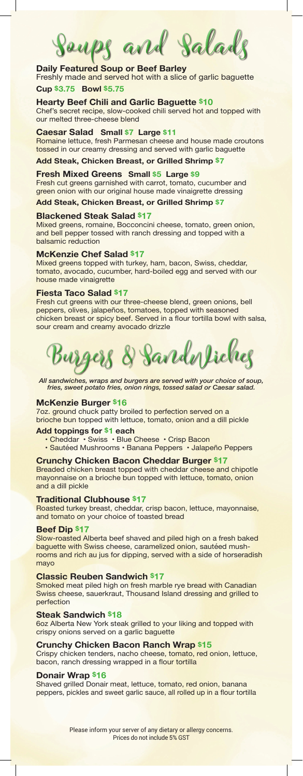Soups and Salads

# **Daily Featured Soup or Beef Barley**

Freshly made and served hot with a slice of garlic baguette **Cup \$3.75 Bowl \$5.75**

**Hearty Beef Chili and Garlic Baguette \$10**

Chef's secret recipe, slow-cooked chili served hot and topped with our melted three-cheese blend

# **Caesar Salad Small \$7 Large \$11**

Romaine lettuce, fresh Parmesan cheese and house made croutons tossed in our creamy dressing and served with garlic baguette

**Add Steak, Chicken Breast, or Grilled Shrimp \$7**

## **Fresh Mixed Greens Small \$5 Large \$9**

Fresh cut greens garnished with carrot, tomato, cucumber and green onion with our original house made vinaigrette dressing

# **Add Steak, Chicken Breast, or Grilled Shrimp \$7**

### **Blackened Steak Salad \$17**

Mixed greens, romaine, Bocconcini cheese, tomato, green onion, and bell pepper tossed with ranch dressing and topped with a balsamic reduction

#### **McKenzie Chef Salad \$17**

Mixed greens topped with turkey, ham, bacon, Swiss, cheddar, tomato, avocado, cucumber, hard-boiled egg and served with our house made vinaigrette

## **Fiesta Taco Salad \$17**

Fresh cut greens with our three-cheese blend, green onions, bell peppers, olives, jalapeños, tomatoes, topped with seasoned chicken breast or spicy beef. Served in a flour tortilla bowl with salsa, sour cream and creamy avocado drizzle

Burgers & Sandwiches

*All sandwiches, wraps and burgers are served with your choice of soup, fries, sweet potato fries, onion rings, tossed salad or Caesar salad.*

### **McKenzie Burger \$16**

7oz. ground chuck patty broiled to perfection served on a brioche bun topped with lettuce, tomato, onion and a dill pickle

#### **Add toppings for \$1 each**

- Cheddar Swiss Blue Cheese Crisp Bacon
- Sautéed Mushrooms Banana Peppers Jalapeño Peppers

**Crunchy Chicken Bacon Cheddar Burger \$17** Breaded chicken breast topped with cheddar cheese and chipotle mayonnaise on a brioche bun topped with lettuce, tomato, onion and a dill pickle

### **Traditional Clubhouse \$17**

Roasted turkey breast, cheddar, crisp bacon, lettuce, mayonnaise, and tomato on your choice of toasted bread

### **Beef Dip \$17**

Slow-roasted Alberta beef shaved and piled high on a fresh baked baguette with Swiss cheese, caramelized onion, sautéed mushrooms and rich au jus for dipping, served with a side of horseradish mayo

### **Classic Reuben Sandwich \$17**

Smoked meat piled high on fresh marble rye bread with Canadian Swiss cheese, sauerkraut, Thousand Island dressing and grilled to perfection

#### **Steak Sandwich \$18**

6oz Alberta New York steak grilled to your liking and topped with crispy onions served on a garlic baguette

### **Crunchy Chicken Bacon Ranch Wrap \$15**

Crispy chicken tenders, nacho cheese, tomato, red onion, lettuce, bacon, ranch dressing wrapped in a flour tortilla

## **Donair Wrap \$16**

Shaved grilled Donair meat, lettuce, tomato, red onion, banana peppers, pickles and sweet garlic sauce, all rolled up in a flour tortilla

> Please inform your server of any dietary or allergy concerns. Prices do not include 5% GST